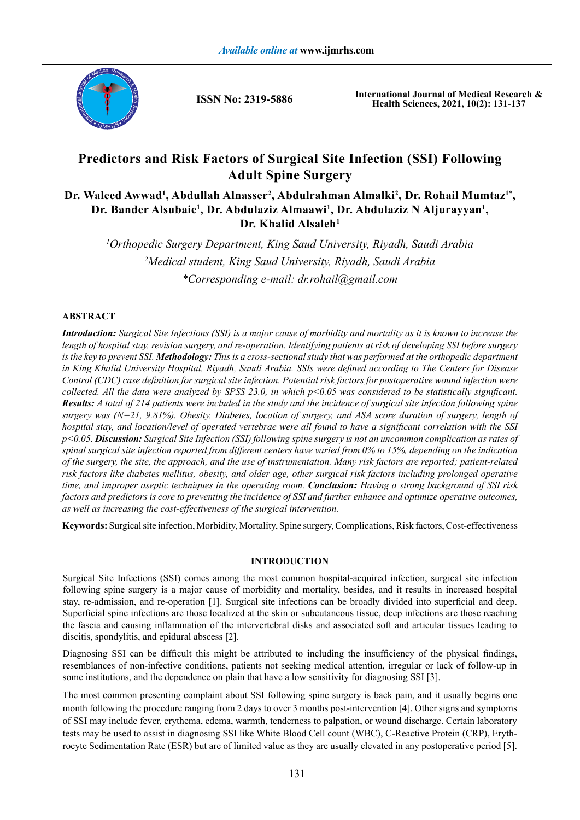

**ISSN No: 2319-5886**

**International Journal of Medical Research & Health Sciences, 2021, 10(2): 131-137**

# **Predictors and Risk Factors of Surgical Site Infection (SSI) Following Adult Spine Surgery**

## Dr. Waleed Awwad<sup>1</sup>, Abdullah Alnasser<sup>2</sup>, Abdulrahman Almalki<sup>2</sup>, Dr. Rohail Mumtaz<sup>1\*</sup>, **Dr. Bander Alsubaie1 , Dr. Abdulaziz Almaawi1 , Dr. Abdulaziz N Aljurayyan1 , Dr. Khalid Alsaleh1**

*1 Orthopedic Surgery Department, King Saud University, Riyadh, Saudi Arabia 2 Medical student, King Saud University, Riyadh, Saudi Arabia \*Corresponding e-mail: dr.rohail@gmail.com*

## **ABSTRACT**

*Introduction: Surgical Site Infections (SSI) is a major cause of morbidity and mortality as it is known to increase the length of hospital stay, revision surgery, and re-operation. Identifying patients at risk of developing SSI before surgery is the key to prevent SSI. Methodology: This is a cross-sectional study that was performed at the orthopedic department in King Khalid University Hospital, Riyadh, Saudi Arabia. SSIs were defined according to The Centers for Disease Control (CDC) case definition for surgical site infection. Potential risk factors for postoperative wound infection were collected. All the data were analyzed by SPSS 23.0, in which p<0.05 was considered to be statistically significant. Results: A total of 214 patients were included in the study and the incidence of surgical site infection following spine surgery was (N=21, 9.81%). Obesity, Diabetes, location of surgery, and ASA score duration of surgery, length of hospital stay, and location/level of operated vertebrae were all found to have a significant correlation with the SSI p<0.05. Discussion: Surgical Site Infection (SSI) following spine surgery is not an uncommon complication as rates of spinal surgical site infection reported from different centers have varied from 0% to 15%, depending on the indication of the surgery, the site, the approach, and the use of instrumentation. Many risk factors are reported; patient-related risk factors like diabetes mellitus, obesity, and older age, other surgical risk factors including prolonged operative time, and improper aseptic techniques in the operating room. Conclusion: Having a strong background of SSI risk factors and predictors is core to preventing the incidence of SSI and further enhance and optimize operative outcomes, as well as increasing the cost-effectiveness of the surgical intervention.*

**Keywords:** Surgical site infection, Morbidity, Mortality, Spine surgery, Complications, Risk factors, Cost-effectiveness

### **INTRODUCTION**

Surgical Site Infections (SSI) comes among the most common hospital-acquired infection, surgical site infection following spine surgery is a major cause of morbidity and mortality, besides, and it results in increased hospital stay, re-admission, and re-operation [1]. Surgical site infections can be broadly divided into superficial and deep. Superficial spine infections are those localized at the skin or subcutaneous tissue, deep infections are those reaching the fascia and causing inflammation of the intervertebral disks and associated soft and articular tissues leading to discitis, spondylitis, and epidural abscess [2].

Diagnosing SSI can be difficult this might be attributed to including the insufficiency of the physical findings, resemblances of non-infective conditions, patients not seeking medical attention, irregular or lack of follow-up in some institutions, and the dependence on plain that have a low sensitivity for diagnosing SSI [3].

The most common presenting complaint about SSI following spine surgery is back pain, and it usually begins one month following the procedure ranging from 2 days to over 3 months post-intervention [4]. Other signs and symptoms of SSI may include fever, erythema, edema, warmth, tenderness to palpation, or wound discharge. Certain laboratory tests may be used to assist in diagnosing SSI like White Blood Cell count (WBC), C-Reactive Protein (CRP), Erythrocyte Sedimentation Rate (ESR) but are of limited value as they are usually elevated in any postoperative period [5].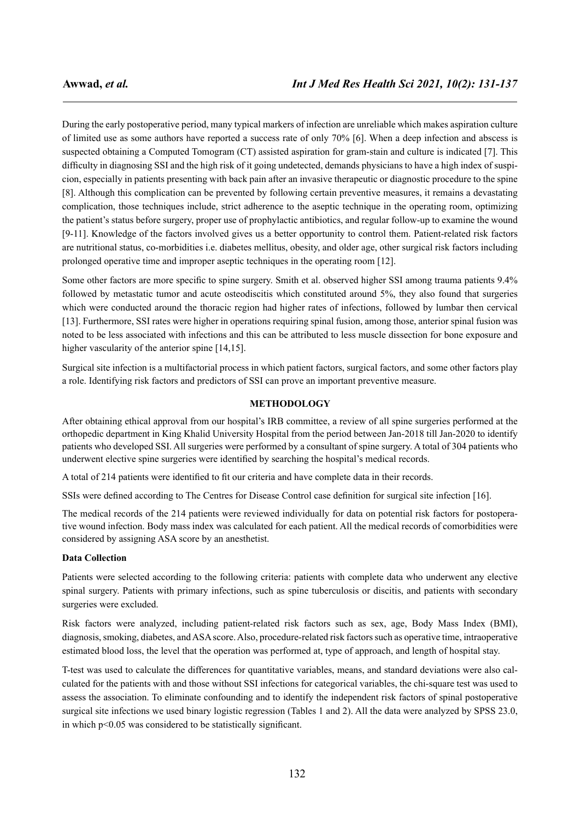During the early postoperative period, many typical markers of infection are unreliable which makes aspiration culture of limited use as some authors have reported a success rate of only 70% [6]. When a deep infection and abscess is suspected obtaining a Computed Tomogram (CT) assisted aspiration for gram-stain and culture is indicated [7]. This difficulty in diagnosing SSI and the high risk of it going undetected, demands physicians to have a high index of suspicion, especially in patients presenting with back pain after an invasive therapeutic or diagnostic procedure to the spine [8]. Although this complication can be prevented by following certain preventive measures, it remains a devastating complication, those techniques include, strict adherence to the aseptic technique in the operating room, optimizing the patient's status before surgery, proper use of prophylactic antibiotics, and regular follow-up to examine the wound [9-11]. Knowledge of the factors involved gives us a better opportunity to control them. Patient-related risk factors are nutritional status, co-morbidities i.e. diabetes mellitus, obesity, and older age, other surgical risk factors including prolonged operative time and improper aseptic techniques in the operating room [12].

Some other factors are more specific to spine surgery. Smith et al. observed higher SSI among trauma patients 9.4% followed by metastatic tumor and acute osteodiscitis which constituted around 5%, they also found that surgeries which were conducted around the thoracic region had higher rates of infections, followed by lumbar then cervical [13]. Furthermore, SSI rates were higher in operations requiring spinal fusion, among those, anterior spinal fusion was noted to be less associated with infections and this can be attributed to less muscle dissection for bone exposure and higher vascularity of the anterior spine [14,15].

Surgical site infection is a multifactorial process in which patient factors, surgical factors, and some other factors play a role. Identifying risk factors and predictors of SSI can prove an important preventive measure.

### **METHODOLOGY**

After obtaining ethical approval from our hospital's IRB committee, a review of all spine surgeries performed at the orthopedic department in King Khalid University Hospital from the period between Jan-2018 till Jan-2020 to identify patients who developed SSI. All surgeries were performed by a consultant of spine surgery. A total of 304 patients who underwent elective spine surgeries were identified by searching the hospital's medical records.

A total of 214 patients were identified to fit our criteria and have complete data in their records.

SSIs were defined according to The Centres for Disease Control case definition for surgical site infection [16].

The medical records of the 214 patients were reviewed individually for data on potential risk factors for postoperative wound infection. Body mass index was calculated for each patient. All the medical records of comorbidities were considered by assigning ASA score by an anesthetist.

#### **Data Collection**

Patients were selected according to the following criteria: patients with complete data who underwent any elective spinal surgery. Patients with primary infections, such as spine tuberculosis or discitis, and patients with secondary surgeries were excluded.

Risk factors were analyzed, including patient-related risk factors such as sex, age, Body Mass Index (BMI), diagnosis, smoking, diabetes, and ASA score. Also, procedure-related risk factors such as operative time, intraoperative estimated blood loss, the level that the operation was performed at, type of approach, and length of hospital stay.

T-test was used to calculate the differences for quantitative variables, means, and standard deviations were also calculated for the patients with and those without SSI infections for categorical variables, the chi-square test was used to assess the association. To eliminate confounding and to identify the independent risk factors of spinal postoperative surgical site infections we used binary logistic regression (Tables 1 and 2). All the data were analyzed by SPSS 23.0, in which p<0.05 was considered to be statistically significant.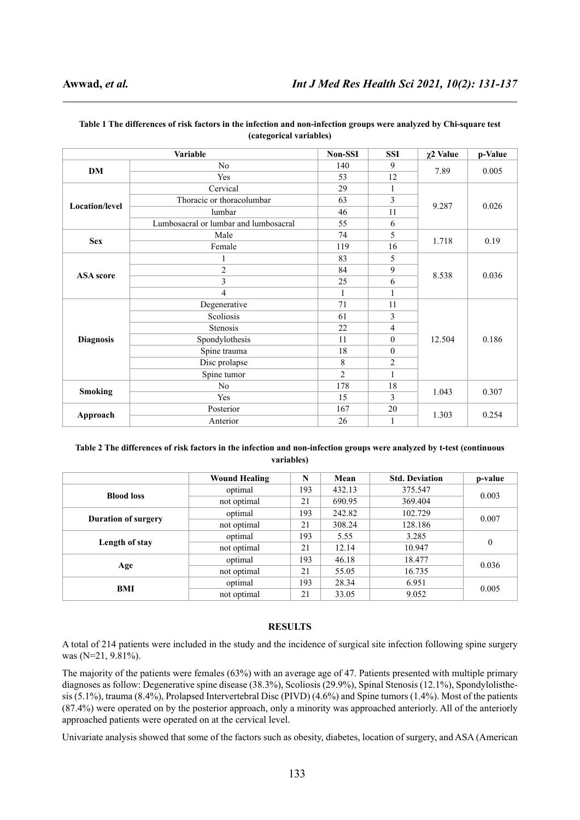| Variable         |                                       | Non-SSI | <b>SSI</b>       | $\chi$ 2 Value | p-Value |
|------------------|---------------------------------------|---------|------------------|----------------|---------|
| DM               | No                                    | 140     | 9                | 7.89           | 0.005   |
|                  | Yes                                   | 53      | 12               |                |         |
| Location/level   | Cervical                              | 29      | 1                |                | 0.026   |
|                  | Thoracic or thoracolumbar             | 63      | $\mathfrak{Z}$   |                |         |
|                  | lumbar                                | 46      | 11               | 9.287          |         |
|                  | Lumbosacral or lumbar and lumbosacral | 55      | 6                |                |         |
| <b>Sex</b>       | Male                                  | 74      | 5                |                | 0.19    |
|                  | Female                                | 119     | 16               | 1.718          |         |
| <b>ASA</b> score | 1                                     | 83      | 5                |                | 0.036   |
|                  | $\overline{2}$                        | 84      | $\mathbf{9}$     | 8.538          |         |
|                  | $\mathfrak{Z}$                        | 25      | 6                |                |         |
|                  | 4                                     | 1       | 1                |                |         |
|                  | Degenerative                          | 71      | 11               |                | 0.186   |
|                  | Scoliosis                             | 61      | 3                |                |         |
|                  | Stenosis                              | 22      | 4                |                |         |
| <b>Diagnosis</b> | Spondylothesis                        | 11      | $\boldsymbol{0}$ | 12.504         |         |
|                  | Spine trauma                          | 18      | $\boldsymbol{0}$ |                |         |
|                  | Disc prolapse                         | 8       | $\sqrt{2}$       |                |         |
|                  | Spine tumor                           | 2       | 1                |                |         |
| <b>Smoking</b>   | N <sub>0</sub>                        | 178     | 18               | 1.043          | 0.307   |
|                  | Yes                                   | 15      | 3                |                |         |
|                  | Posterior                             | 167     | 20               |                | 0.254   |
| Approach         | Anterior                              | 26      | 1                | 1.303          |         |

#### **Table 1 The differences of risk factors in the infection and non-infection groups were analyzed by Chi-square test (categorical variables)**

### **Table 2 The differences of risk factors in the infection and non-infection groups were analyzed by t-test (continuous variables)**

|                            | <b>Wound Healing</b> | N   | Mean   | <b>Std. Deviation</b> | p-value  |  |
|----------------------------|----------------------|-----|--------|-----------------------|----------|--|
| <b>Blood loss</b>          | optimal              | 193 | 432.13 | 375.547               | 0.003    |  |
|                            | not optimal          | 21  | 690.95 | 369.404               |          |  |
| <b>Duration of surgery</b> | optimal              | 193 | 242.82 | 102.729               | 0.007    |  |
|                            | not optimal          | 21  | 308.24 | 128.186               |          |  |
|                            | optimal              | 193 | 5.55   | 3.285                 | $\theta$ |  |
| Length of stay             | not optimal          | 21  | 12.14  | 10.947                |          |  |
|                            | optimal              | 193 | 46.18  | 18.477                | 0.036    |  |
| Age                        | not optimal          | 21  | 55.05  | 16.735                |          |  |
| BMI                        | optimal              | 193 | 28.34  | 6.951                 | 0.005    |  |
|                            | not optimal          | 21  | 33.05  | 9.052                 |          |  |

## **RESULTS**

A total of 214 patients were included in the study and the incidence of surgical site infection following spine surgery was (N=21, 9.81%).

The majority of the patients were females (63%) with an average age of 47. Patients presented with multiple primary diagnoses as follow: Degenerative spine disease (38.3%), Scoliosis (29.9%), Spinal Stenosis (12.1%), Spondylolisthesis (5.1%), trauma (8.4%), Prolapsed Intervertebral Disc (PIVD) (4.6%) and Spine tumors (1.4%). Most of the patients (87.4%) were operated on by the posterior approach, only a minority was approached anteriorly. All of the anteriorly approached patients were operated on at the cervical level.

Univariate analysis showed that some of the factors such as obesity, diabetes, location of surgery, and ASA (American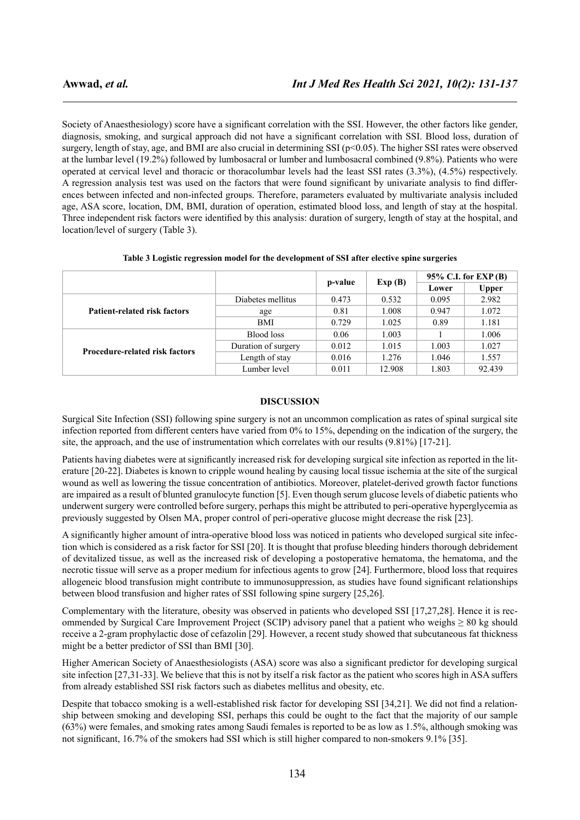Society of Anaesthesiology) score have a significant correlation with the SSI. However, the other factors like gender, diagnosis, smoking, and surgical approach did not have a significant correlation with SSI. Blood loss, duration of surgery, length of stay, age, and BMI are also crucial in determining SSI (p<0.05). The higher SSI rates were observed at the lumbar level (19.2%) followed by lumbosacral or lumber and lumbosacral combined (9.8%). Patients who were operated at cervical level and thoracic or thoracolumbar levels had the least SSI rates (3.3%), (4.5%) respectively. A regression analysis test was used on the factors that were found significant by univariate analysis to find differences between infected and non-infected groups. Therefore, parameters evaluated by multivariate analysis included age, ASA score, location, DM, BMI, duration of operation, estimated blood loss, and length of stay at the hospital. Three independent risk factors were identified by this analysis: duration of surgery, length of stay at the hospital, and location/level of surgery (Table 3).

|                                       |                     | p-value | Exp(B) | $95\%$ C.I. for EXP(B) |              |
|---------------------------------------|---------------------|---------|--------|------------------------|--------------|
|                                       |                     |         |        | Lower                  | <b>Upper</b> |
|                                       | Diabetes mellitus   | 0.473   | 0.532  | 0.095                  | 2.982        |
| Patient-related risk factors          | age                 | 0.81    | 1.008  | 0.947                  | 1.072        |
|                                       | <b>BMI</b>          | 0.729   | 1.025  | 0.89                   | 1.181        |
|                                       | Blood loss          | 0.06    | 1.003  |                        | 1.006        |
| <b>Procedure-related risk factors</b> | Duration of surgery | 0.012   | 1.015  | 1.003                  | 1.027        |
|                                       | Length of stay      | 0.016   | 1.276  | 1.046                  | 1.557        |
|                                       | Lumber level        | 0.011   | 12.908 | 1.803                  | 92.439       |

**Table 3 Logistic regression model for the development of SSI after elective spine surgeries**

#### **DISCUSSION**

Surgical Site Infection (SSI) following spine surgery is not an uncommon complication as rates of spinal surgical site infection reported from different centers have varied from 0% to 15%, depending on the indication of the surgery, the site, the approach, and the use of instrumentation which correlates with our results (9.81%) [17-21].

Patients having diabetes were at significantly increased risk for developing surgical site infection as reported in the literature [20-22]. Diabetes is known to cripple wound healing by causing local tissue ischemia at the site of the surgical wound as well as lowering the tissue concentration of antibiotics. Moreover, platelet-derived growth factor functions are impaired as a result of blunted granulocyte function [5]. Even though serum glucose levels of diabetic patients who underwent surgery were controlled before surgery, perhaps this might be attributed to peri-operative hyperglycemia as previously suggested by Olsen MA, proper control of peri-operative glucose might decrease the risk [23].

A significantly higher amount of intra-operative blood loss was noticed in patients who developed surgical site infection which is considered as a risk factor for SSI [20]. It is thought that profuse bleeding hinders thorough debridement of devitalized tissue, as well as the increased risk of developing a postoperative hematoma, the hematoma, and the necrotic tissue will serve as a proper medium for infectious agents to grow [24]. Furthermore, blood loss that requires allogeneic blood transfusion might contribute to immunosuppression, as studies have found significant relationships between blood transfusion and higher rates of SSI following spine surgery [25,26].

Complementary with the literature, obesity was observed in patients who developed SSI [17,27,28]. Hence it is recommended by Surgical Care Improvement Project (SCIP) advisory panel that a patient who weighs  $\geq 80$  kg should receive a 2-gram prophylactic dose of cefazolin [29]. However, a recent study showed that subcutaneous fat thickness might be a better predictor of SSI than BMI [30].

Higher American Society of Anaesthesiologists (ASA) score was also a significant predictor for developing surgical site infection [27,31-33]. We believe that this is not by itself a risk factor as the patient who scores high in ASA suffers from already established SSI risk factors such as diabetes mellitus and obesity, etc.

Despite that tobacco smoking is a well-established risk factor for developing SSI [34,21]. We did not find a relationship between smoking and developing SSI, perhaps this could be ought to the fact that the majority of our sample (63%) were females, and smoking rates among Saudi females is reported to be as low as 1.5%, although smoking was not significant, 16.7% of the smokers had SSI which is still higher compared to non-smokers 9.1% [35].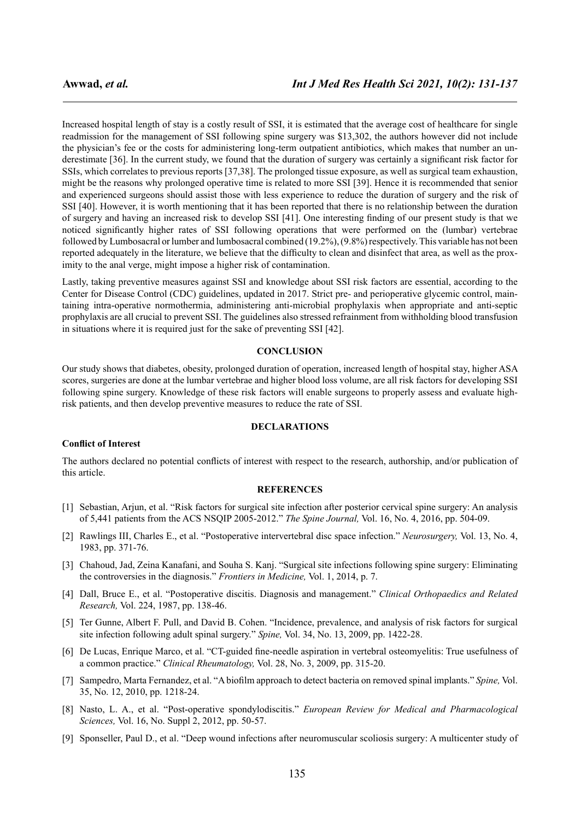Increased hospital length of stay is a costly result of SSI, it is estimated that the average cost of healthcare for single readmission for the management of SSI following spine surgery was \$13,302, the authors however did not include the physician's fee or the costs for administering long-term outpatient antibiotics, which makes that number an underestimate [36]. In the current study, we found that the duration of surgery was certainly a significant risk factor for SSIs, which correlates to previous reports [37,38]. The prolonged tissue exposure, as well as surgical team exhaustion, might be the reasons why prolonged operative time is related to more SSI [39]. Hence it is recommended that senior and experienced surgeons should assist those with less experience to reduce the duration of surgery and the risk of SSI [40]. However, it is worth mentioning that it has been reported that there is no relationship between the duration of surgery and having an increased risk to develop SSI [41]. One interesting finding of our present study is that we noticed significantly higher rates of SSI following operations that were performed on the (lumbar) vertebrae followed by Lumbosacral or lumber and lumbosacral combined (19.2%), (9.8%) respectively. This variable has not been reported adequately in the literature, we believe that the difficulty to clean and disinfect that area, as well as the proximity to the anal verge, might impose a higher risk of contamination.

Lastly, taking preventive measures against SSI and knowledge about SSI risk factors are essential, according to the Center for Disease Control (CDC) guidelines, updated in 2017. Strict pre- and perioperative glycemic control, maintaining intra-operative normothermia, administering anti-microbial prophylaxis when appropriate and anti-septic prophylaxis are all crucial to prevent SSI. The guidelines also stressed refrainment from withholding blood transfusion in situations where it is required just for the sake of preventing SSI [42].

#### **CONCLUSION**

Our study shows that diabetes, obesity, prolonged duration of operation, increased length of hospital stay, higher ASA scores, surgeries are done at the lumbar vertebrae and higher blood loss volume, are all risk factors for developing SSI following spine surgery. Knowledge of these risk factors will enable surgeons to properly assess and evaluate highrisk patients, and then develop preventive measures to reduce the rate of SSI.

#### **DECLARATIONS**

#### **Conflict of Interest**

The authors declared no potential conflicts of interest with respect to the research, authorship, and/or publication of this article.

#### **REFERENCES**

- [1] Sebastian, Arjun, et al. "Risk factors for surgical site infection after posterior cervical spine surgery: An analysis of 5,441 patients from the ACS NSQIP 2005-2012." *The Spine Journal,* Vol. 16, No. 4, 2016, pp. 504-09.
- [2] Rawlings III, Charles E., et al. "Postoperative intervertebral disc space infection." *Neurosurgery,* Vol. 13, No. 4, 1983, pp. 371-76.
- [3] Chahoud, Jad, Zeina Kanafani, and Souha S. Kanj. "Surgical site infections following spine surgery: Eliminating the controversies in the diagnosis." *Frontiers in Medicine,* Vol. 1, 2014, p. 7.
- [4] Dall, Bruce E., et al. "Postoperative discitis. Diagnosis and management." *Clinical Orthopaedics and Related Research,* Vol. 224, 1987, pp. 138-46.
- [5] Ter Gunne, Albert F. Pull, and David B. Cohen. "Incidence, prevalence, and analysis of risk factors for surgical site infection following adult spinal surgery." *Spine,* Vol. 34, No. 13, 2009, pp. 1422-28.
- [6] De Lucas, Enrique Marco, et al. "CT-guided fine-needle aspiration in vertebral osteomyelitis: True usefulness of a common practice." *Clinical Rheumatology,* Vol. 28, No. 3, 2009, pp. 315-20.
- [7] Sampedro, Marta Fernandez, et al. "A biofilm approach to detect bacteria on removed spinal implants." *Spine,* Vol. 35, No. 12, 2010, pp. 1218-24.
- [8] Nasto, L. A., et al. "Post-operative spondylodiscitis." *European Review for Medical and Pharmacological Sciences,* Vol. 16, No. Suppl 2, 2012, pp. 50-57.
- [9] Sponseller, Paul D., et al. "Deep wound infections after neuromuscular scoliosis surgery: A multicenter study of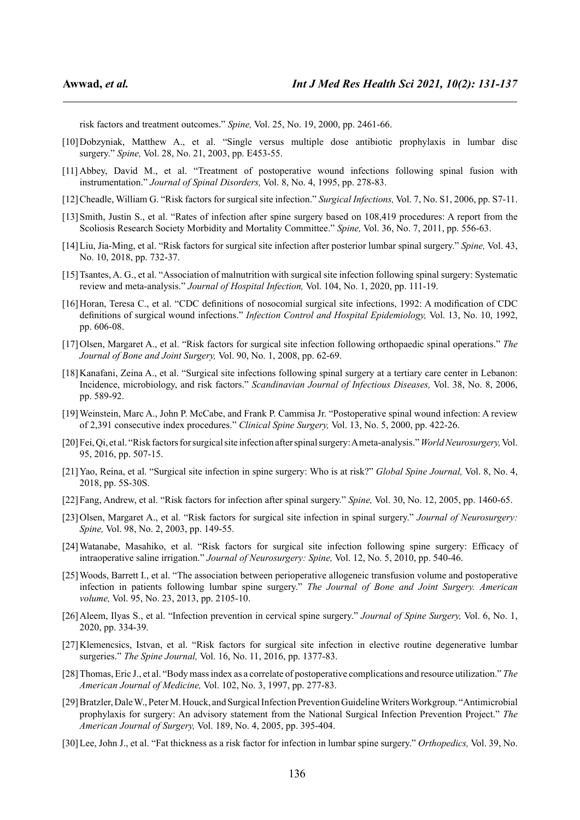risk factors and treatment outcomes." *Spine,* Vol. 25, No. 19, 2000, pp. 2461-66.

- [10]Dobzyniak, Matthew A., et al. "Single versus multiple dose antibiotic prophylaxis in lumbar disc surgery." *Spine,* Vol. 28, No. 21, 2003, pp. E453-55.
- [11] Abbey, David M., et al. "Treatment of postoperative wound infections following spinal fusion with instrumentation." *Journal of Spinal Disorders,* Vol. 8, No. 4, 1995, pp. 278-83.
- [12]Cheadle, William G. "Risk factors for surgical site infection." *Surgical Infections,* Vol. 7, No. S1, 2006, pp. S7-11.
- [13]Smith, Justin S., et al. "Rates of infection after spine surgery based on 108,419 procedures: A report from the Scoliosis Research Society Morbidity and Mortality Committee." *Spine,* Vol. 36, No. 7, 2011, pp. 556-63.
- [14]Liu, Jia-Ming, et al. "Risk factors for surgical site infection after posterior lumbar spinal surgery." *Spine,* Vol. 43, No. 10, 2018, pp. 732-37.
- [15]Tsantes, A. G., et al. "Association of malnutrition with surgical site infection following spinal surgery: Systematic review and meta-analysis." *Journal of Hospital Infection,* Vol. 104, No. 1, 2020, pp. 111-19.
- [16] Horan, Teresa C., et al. "CDC definitions of nosocomial surgical site infections, 1992: A modification of CDC definitions of surgical wound infections." *Infection Control and Hospital Epidemiology,* Vol. 13, No. 10, 1992, pp. 606-08.
- [17]Olsen, Margaret A., et al. "Risk factors for surgical site infection following orthopaedic spinal operations." *The Journal of Bone and Joint Surgery,* Vol. 90, No. 1, 2008, pp. 62-69.
- [18]Kanafani, Zeina A., et al. "Surgical site infections following spinal surgery at a tertiary care center in Lebanon: Incidence, microbiology, and risk factors." *Scandinavian Journal of Infectious Diseases,* Vol. 38, No. 8, 2006, pp. 589-92.
- [19]Weinstein, Marc A., John P. McCabe, and Frank P. Cammisa Jr. "Postoperative spinal wound infection: A review of 2,391 consecutive index procedures." *Clinical Spine Surgery,* Vol. 13, No. 5, 2000, pp. 422-26.
- [20]Fei, Qi, et al. "Risk factors for surgical site infection after spinal surgery: A meta-analysis."*World Neurosurgery,*Vol. 95, 2016, pp. 507-15.
- [21]Yao, Reina, et al. "Surgical site infection in spine surgery: Who is at risk?" *Global Spine Journal,* Vol. 8, No. 4, 2018, pp. 5S-30S.
- [22]Fang, Andrew, et al. "Risk factors for infection after spinal surgery." *Spine,* Vol. 30, No. 12, 2005, pp. 1460-65.
- [23]Olsen, Margaret A., et al. "Risk factors for surgical site infection in spinal surgery." *Journal of Neurosurgery: Spine,* Vol. 98, No. 2, 2003, pp. 149-55.
- [24]Watanabe, Masahiko, et al. "Risk factors for surgical site infection following spine surgery: Efficacy of intraoperative saline irrigation." *Journal of Neurosurgery: Spine,* Vol. 12, No. 5, 2010, pp. 540-46.
- [25]Woods, Barrett I., et al. "The association between perioperative allogeneic transfusion volume and postoperative infection in patients following lumbar spine surgery." *The Journal of Bone and Joint Surgery. American volume,* Vol. 95, No. 23, 2013, pp. 2105-10.
- [26]Aleem, Ilyas S., et al. "Infection prevention in cervical spine surgery." *Journal of Spine Surgery,* Vol. 6, No. 1, 2020, pp. 334-39.
- [27]Klemencsics, Istvan, et al. "Risk factors for surgical site infection in elective routine degenerative lumbar surgeries." *The Spine Journal,* Vol. 16, No. 11, 2016, pp. 1377-83.
- [28]Thomas, Eric J., et al. "Body mass index as a correlate of postoperative complications and resource utilization." *The American Journal of Medicine,* Vol. 102, No. 3, 1997, pp. 277-83.
- [29]Bratzler, Dale W., Peter M. Houck, and Surgical Infection Prevention Guideline Writers Workgroup. "Antimicrobial prophylaxis for surgery: An advisory statement from the National Surgical Infection Prevention Project." *The American Journal of Surgery,* Vol. 189, No. 4, 2005, pp. 395-404.
- [30]Lee, John J., et al. "Fat thickness as a risk factor for infection in lumbar spine surgery." *Orthopedics,* Vol. 39, No.